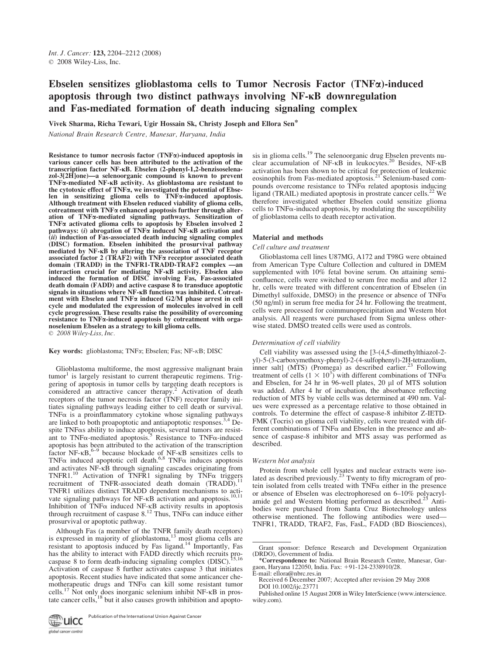# Ebselen sensitizes glioblastoma cells to Tumor Necrosis Factor  $(TNF\alpha)$ -induced apoptosis through two distinct pathways involving NF- $\kappa$ B downregulation and Fas-mediated formation of death inducing signaling complex

Vivek Sharma, Richa Tewari, Ugir Hossain Sk, Christy Joseph and Ellora Sen\*

National Brain Research Centre, Manesar, Haryana, India

Resistance to tumor necrosis factor  $(TNF\alpha)$ -induced apoptosis in various cancer cells has been attributed to the activation of the transcription factor NF-KB. Ebselen (2-phenyl-1,2-benzisoselenazol-3[2H]one)—a selenoorganic compound is known to prevent  $TNF\alpha$ -mediated  $NF$ - $\kappa$ B activity. As glioblastoma are resistant to the cytotoxic effect of TNFa, we investigated the potential of Ebselen in sensitizing glioma cells to TNFa-induced apoptosis. Although treatment with Ebselen reduced viability of glioma cells, cotreatment with  $TNF\alpha$  enhanced apoptosis further through alteration of TNFa-mediated signaling pathways. Sensitization of TNFa activated glioma cells to apoptosis by Ebselen involved 2 pathways: (i) abrogation of  $TNF\alpha$  induced NF- $\kappa$ B activation and  $(iii)$  induction of Fas-associated death inducing signaling complex (DISC) formation. Ebselen inhibited the prosurvival pathway mediated by NF-KB by altering the association of TNF receptor associated factor 2 (TRAF2) with TNFa receptor associated death domain (TRADD) in the TNFR1-TRADD-TRAF2 complex —an interaction crucial for mediating NF-KB activity. Ebselen also induced the formation of DISC involving Fas, Fas-associated death domain (FADD) and active caspase 8 to transduce apoptotic signals in situations where NF-<sub>KB</sub> function was inhibited. Cotreatment with Ebselen and TNF $\alpha$  induced G2/M phase arrest in cell cycle and modulated the expression of molecules involved in cell cycle progression. These results raise the possibility of overcoming resistance to TNFa-induced apoptosis by cotreatment with organoselenium Ebselen as a strategy to kill glioma cells.  $\odot$  2008 Wiley-Liss, Inc.

Key words: glioblastoma; TNF $\alpha$ ; Ebselen; Fas; NF- $\kappa$ B; DISC

Glioblastoma multiforme, the most aggressive malignant brain  $t$ tumor<sup>1</sup> is largely resistant to current therapeutic regimens. Triggering of apoptosis in tumor cells by targeting death receptors is considered an attractive cancer therapy.<sup>2</sup> Activation of death receptors of the tumor necrosis factor (TNF) receptor family initiates signaling pathways leading either to cell death or survival.  $TNF\alpha$  is a proinflammatory cytokine whose signaling pathways are linked to both proapoptotic and antiapoptotic responses.3,4 Despite TNFas ability to induce apoptosis, several tumors are resistant to  $TNF\alpha$ -mediated apoptosis.<sup>5</sup> Resistance to  $TNF\alpha$ -induced apoptosis has been attributed to the activation of the transcription factor NF- $\kappa B$ ,  $6-9$  because blockade of NF- $\kappa B$  sensitizes cells to TNF $\alpha$  induced apoptotic cell death.<sup>6,8</sup> TNF $\alpha$  induces apoptosis and activates NF-KB through signaling cascades originating from<br>TNFR1.<sup>10</sup> Activation of TNFR1 signaling by TNF $\alpha$  triggers recruitment of TNFR-associated death domain (TRADD).<sup>11</sup> TNFR1 utilizes distinct TRADD dependent mechanisms to acti-<br>vate signaling pathways for NF-<sub>KB</sub> activation and apoptosis.<sup>10,11</sup> Inhibition of TNF $\alpha$  induced NF- $\kappa$ B activity results in apoptosis through recruitment of caspase  $8^{12}$  Thus, TNF $\alpha$  can induce either prosurvival or apoptotic pathway.

Although Fas (a member of the TNFR family death receptors) is expressed in majority of glioblastoma,<sup>13</sup> most glioma cells are resistant to apoptosis induced by Fas ligand.<sup>14</sup> Importantly, Fas has the ability to interact with FADD directly which recruits pro-<br>caspase 8 to form death-inducing signaling complex (DISC).<sup>15,16</sup> Activation of caspase 8 further activates caspase 3 that initiates apoptosis. Recent studies have indicated that some anticancer chemotherapeutic drugs and TNF $\alpha$  can kill some resistant tumor cells.<sup>17</sup> Not only does inorganic selenium inhibit NF- $\kappa$ B in proscells.<sup>17</sup> Not only does inorganic selenium inhibit NF- $\kappa$ B in prostate cancer cells,  $^{18}$  but it also causes growth inhibition and apopto-

**Publication of the International Union Against Cancer** global cancer control

sis in glioma cells.<sup>19</sup> The selenoorganic drug Ebselen prevents nuclear accumulation of  $NF$ - $\kappa$ B in leukocytes.<sup>20</sup> Besides, NF- $\kappa$ B activation has been shown to be critical for protection of leukemic eosinophils from Fas-mediated apoptosis.<sup>21</sup> Selenium-based compounds overcome resistance to  $TNF\alpha$  related apoptosis inducing ligand (TRAIL) mediated apoptosis in prostrate cancer cells.<sup>22</sup> We therefore investigated whether Ebselen could sensitize glioma cells to  $TNF\alpha$ -induced apoptosis, by modulating the susceptibility of glioblastoma cells to death receptor activation.

## Material and methods

## Cell culture and treatment

Glioblastoma cell lines U87MG, A172 and T98G were obtained from American Type Culture Collection and cultured in DMEM supplemented with 10% fetal bovine serum. On attaining semiconfluence, cells were switched to serum free media and after 12 hr, cells were treated with different concentration of Ebselen (in Dimethyl sulfoxide, DMSO) in the presence or absence of  $TNF\alpha$ (50 ng/ml) in serum free media for 24 hr. Following the treatment, cells were processed for coimmunoprecipitation and Western blot analysis. All reagents were purchased from Sigma unless otherwise stated. DMSO treated cells were used as controls.

## Determination of cell viability

Cell viability was assessed using the [3-(4,5-dimethylthiazol-2 yl)-5-(3-carboxymethoxy-phenyl)-2-(4-sulfophenyl)-2H-tetrazolium, inner salt] (MTS) (Promega) as described earlier. $^{23}$  Following treatment of cells  $(1 \times 10^3)$  with different combinations of TNF $\alpha$ and Ebselen, for  $24$  hr in  $96$ -well plates,  $20 \mu$  of MTS solution was added. After 4 hr of incubation, the absorbance reflecting reduction of MTS by viable cells was determined at 490 nm. Values were expressed as a percentage relative to those obtained in controls. To determine the effect of caspase-8 inhibitor Z-IETD-FMK (Tocris) on glioma cell viability, cells were treated with different combinations of TNF $\alpha$  and Ebselen in the presence and absence of caspase-8 inhibitor and MTS assay was performed as described.

#### Western blot analysis

Protein from whole cell lysates and nuclear extracts were iso-<br>lated as described previously.<sup>23</sup> Twenty to fifty microgram of protein isolated from cells treated with  $TNF\alpha$  either in the presence or absence of Ebselen was electrophoresed on 6–10% polyacryl-<br>amide gel and Western blotting performed as described.<sup>23</sup> Antibodies were purchased from Santa Cruz Biotechnology unless otherwise mentioned. The following antibodies were used— TNFR1, TRADD, TRAF2, Fas, FasL, FADD (BD Biosciences),

Grant sponsor: Defence Research and Development Organization

<sup>(</sup>DRD), Government of India.<br>\*Correspondence to: National Brain Research Centre, Manesar, Gurgaon, Haryana 122050, India. Fax: +91-124-2338910/28. E-mail: ellora@nbrc.res.in

Received 6 December 2007; Accepted after revision 29 May 2008 DOI 10.1002/ijc.23771

Published online 15 August 2008 in Wiley InterScience (www.interscience. wiley.com).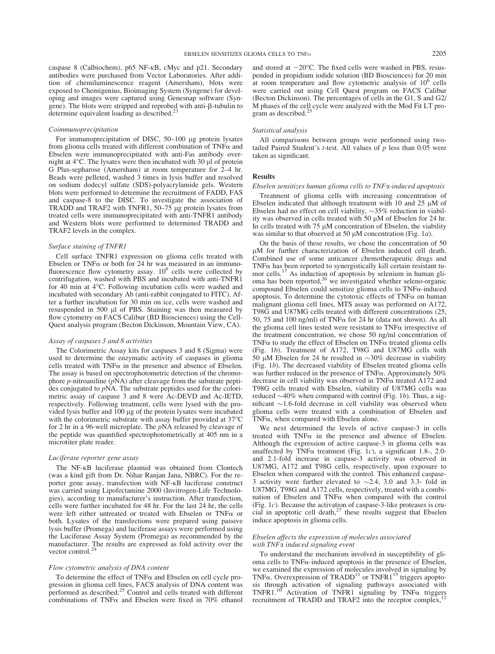caspase 8 (Calbiochem), p65 NF-KB, cMyc and p21. Secondary antibodies were purchased from Vector Laboratories. After addition of chemiluminescence reagent (Amersham), blots were exposed to Chemigenius, Bioimaging System (Syngene) for developing and images were captured using Genesnap software (Syngene). The blots were stripped and reprobed with anti- $\beta$ -tubulin to determine equivalent loading as described.<sup>2</sup>

#### Coimmunoprecipitation

For immunoprecipitation of DISC, 50–100 µg protein lysates from glioma cells treated with different combination of  $TNF\alpha$  and Ebselen were immunoprecipitated with anti-Fas antibody overnight at  $4^{\circ}$ C. The lysates were then incubated with 30  $\mu$ l of protein G Plus-sepharose (Amersham) at room temperature for 2–4 hr. Beads were pelleted, washed 3 times in lysis buffer and resolved on sodium dodecyl sulfate (SDS)-polyacrylamide gels. Western blots were performed to determine the recruitment of FADD, FAS and caspase-8 to the DISC. To investigate the association of TRADD and TRAF2 with TNFR1, 50–75 µg protein lysates from treated cells were immunoprecipitated with anti-TNFR1 antibody and Western blots were performed to determined TRADD and TRAF2 levels in the complex.

#### Surface staining of TNFR1

Cell surface TNFR1 expression on glioma cells treated with Ebselen or TNF $\alpha$  or both for 24 hr was measured in an immunofluorescence flow cytometry assay.  $10^6$  cells were collected by centrifugation, washed with PBS and incubated with anti-TNFR1 for 40 min at 4°C. Following incubation cells were washed and incubated with secondary Ab (anti-rabbit conjugated to FITC). After a further incubation for 30 min on ice, cells were washed and resuspended in 500 µl of PBS. Staining was then measured by flow cytometry on FACS Calibur (BD Biosciences) using the Cell-Quest analysis program (Becton Dickinson, Mountain View, CA).

#### Assay of caspases 3 and 8 activities

The Colorimetric Assay kits for caspases 3 and 8 (Sigma) were used to determine the enzymatic activity of caspases in glioma cells treated with  $TNF\alpha$  in the presence and absence of Ebselen. The assay is based on spectrophotometric detection of the chromophore  $p$ -nitroaniline ( $p$ NA) after cleavage from the substrate peptides conjugated to pNA. The substrate peptides used for the colorimetric assay of caspase 3 and 8 were Ac-DEVD and Ac-IETD, respectively. Following treatment, cells were lysed with the provided lysis buffer and 100 µg of the protein lysates were incubated with the colorimetric substrate with assay buffer provided at  $37^{\circ}$ C for 2 hr in a 96-well microplate. The pNA released by cleavage of the peptide was quantified spectrophotometrically at 405 nm in a microtiter plate reader.

#### Luciferase reporter gene assay

The NF-KB luciferase plasmid was obtained from Clontech (was a kind gift from Dr. Nihar Ranjan Jana, NBRC). For the reporter gene assay, transfection with NF- $\kappa$ B luciferase construct was carried using Lipofectamine 2000 (Invitrogen-Life Technologies), according to manufacturer's instruction. After transfection, cells were further incubated for 48 hr. For the last 24 hr, the cells were left either untreated or treated with Ebselen or TNF $\alpha$  or both. Lysates of the transfections were prepared using passive lysis buffer (Promega) and luciferase assays were performed using the Luciferase Assay System (Promega) as recommended by the manufacturer. The results are expressed as fold activity over the vector control.<sup>24</sup>

## Flow cytometric analysis of DNA content

To determine the effect of  $TNF\alpha$  and Ebselen on cell cycle progression in glioma cell lines, FACS analysis of DNA content was performed as described.<sup>25</sup> Control and cells treated with different combinations of TNF $\alpha$  and Ebselen were fixed in 70% ethanol and stored at  $-20^{\circ}$ C. The fixed cells were washed in PBS, resuspended in propidium iodide solution (BD Biosciences) for 20 min at room temperature and flow cytometric analysis of  $10<sup>6</sup>$  cells were carried out using Cell Quest program on FACS Calibur (Becton Dickinson). The percentages of cells in the G1, S and G2/ M phases of the cell cycle were analyzed with the Mod Fit LT program as described. $<sup>2</sup>$ </sup>

## Statistical analysis

All comparisons between groups were performed using twotailed Paired Student's *t*-test. All values of  $p$  less than 0.05 were taken as significant.

## Results

## Ebselen sensitizes human glioma cells to TNFa-induced apoptosis

Treatment of glioma cells with increasing concentration of Ebselen indicated that although treatment with 10 and 25  $\mu$ M of Ebselen had no effect on cell viability,  $\sim$ 35% reduction in viability was observed in cells treated with 50  $\mu$ M of Ebselen for 24 hr. In cells treated with  $75 \mu M$  concentration of Ebselen, the viability was similar to that observed at 50  $\mu$ M concentration (Fig. 1*a*).

On the basis of these results, we chose the concentration of 50 lM for further characterization of Ebselen induced cell death. Combined use of some anticancer chemotherapeutic drugs and  $TNF\alpha$  has been reported to synergistically kill certain resistant tumor cells.<sup>17</sup> As induction of apoptosis by selenium in human glioma has been reported,<sup>26</sup> we investigated whether seleno-organic compound Ebselen could sensitize glioma cells to  $TNF\alpha$ -induced apoptosis. To determine the cytotoxic effects of  $TNF\alpha$  on human malignant glioma cell lines, MTS assay was performed on A172, T98G and U87MG cells treated with different concentrations (25, 50, 75 and 100 ng/ml) of TNF $\alpha$  for 24 hr (data not shown). As all the glioma cell lines tested were resistant to  $TNF\alpha$  irrespective of the treatment concentration, we chose 50 ng/ml concentration of TNF $\alpha$  to study the effect of Ebselen on TNF $\alpha$  treated glioma cells (Fig. 1b). Treatment of A172, T98G and U87MG cells with 50  $\mu$ M Ebselen for 24 hr resulted in  $\sim$ 30% decrease in viability (Fig. 1b). The decreased viability of Ebselen treated glioma cells was further reduced in the presence of TNF $\alpha$ . Approximately 50% decrease in cell viability was observed in  $TNF\alpha$  treated A172 and T98G cells treated with Ebselen, viability of U87MG cells was reduced  $\sim$ 40% when compared with control (Fig. 1b). Thus, a significant  $\sim$ 1.6-fold decrease in cell viability was observed when glioma cells were treated with a combination of Ebselen and  $TNF\alpha$ , when compared with Ebselen alone.

We next determined the levels of active caspase-3 in cells treated with  $TNF\alpha$  in the presence and absence of Ebselen. Although the expression of active caspase-3 in glioma cells was unaffected by TNF $\alpha$  treatment (Fig. 1c), a significant 1.8-, 2.0and 2.1-fold increase in caspase-3 activity was observed in U87MG, A172 and T98G cells, respectively, upon exposure to Ebselen when compared with the control. This enhanced caspase-3 activity were further elevated to  $\sim$  2.4, 3.0 and 3.3- fold in U87MG, T98G and A172 cells, respectively, treated with a combination of Ebselen and TNF $\alpha$  when compared with the control (Fig. 1c). Because the activation of caspase-3-like proteases is cru-<br>cial in apoptotic cell death,<sup>27</sup> these results suggest that Ebselen induce apoptosis in glioma cells.

## Ebselen affects the expression of molecules associated with TNF<sub> $\alpha$ </sub> induced signaling event

To understand the mechanism involved in susceptibility of glioma cells to  $TNF\alpha$ -induced apoptosis in the presence of Ebselen, we examined the expression of molecules involved in signaling by TNF $\alpha$ . Overexpression of TRADD<sup>11</sup> or TNFR1<sup>15</sup> triggers apoptosis through activation of signaling pathways associated with<br>TNFR1.<sup>10</sup> Activation of TNFR1 signaling by TNF $\alpha$  triggers TNFR1.<sup>10</sup> Activation of TNFR1 signaling by TNF $\alpha$  triggers recruitment of TRADD and TRAF2 into the receptor complex,<sup>12</sup>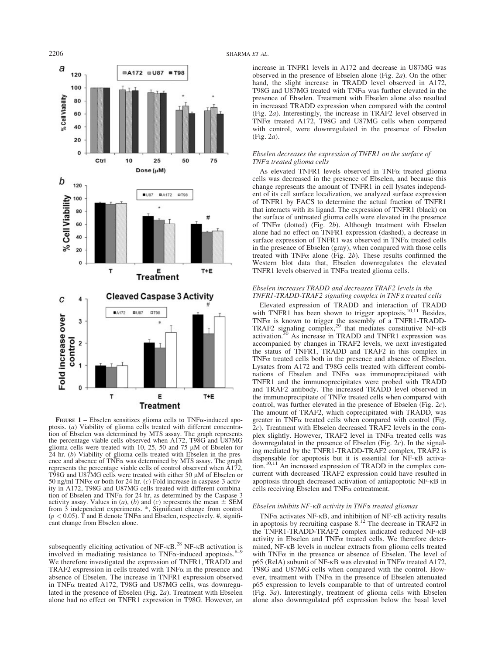

FIGURE  $1$  – Ebselen sensitizes glioma cells to TNF $\alpha$ -induced apoptosis. (a) Viability of glioma cells treated with different concentration of Ebselen was determined by MTS assay. The graph represents the percentage viable cells observed when A172, T98G and U87MG glioma cells were treated with 10, 25, 50 and 75  $\mu$ M of Ebselen for 24 hr. (b) Viability of glioma cells treated with Ebselen in the presence and absence of TNFa was determined by MTS assay. The graph represents the percentage viable cells of control observed when A172, T98G and U87MG cells were treated with either 50 µM of Ebselen or 50 ng/ml TNF $\alpha$  or both for 24 hr. (c) Fold increase in caspase-3 activity in A172, T98G and U87MG cells treated with different combination of Ebselen and TNF $\alpha$  for 24 hr, as determined by the Caspase-3 activity assay. Values in  $(a)$ ,  $(b)$  and  $(c)$  represents the mean  $\pm$  SEM from 3 independent experiments. \*, Significant change from control  $(p < 0.05)$ . T and E denote TNF $\alpha$  and Ebselen, respectively. #, significant change from Ebselen alone.

subsequently eliciting activation of NF- $\kappa$ B.<sup>28</sup> NF- $\kappa$ B activation is involved in mediating resistance to  $TNF\alpha$ -induced apoptosis.<sup>6</sup> We therefore investigated the expression of TNFR1, TRADD and TRAF2 expression in cells treated with  $TNF\alpha$  in the presence and absence of Ebselen. The increase in TNFR1 expression observed in TNFa treated A172, T98G and U87MG cells, was downregulated in the presence of Ebselen (Fig. 2a). Treatment with Ebselen alone had no effect on TNFR1 expression in T98G. However, an

## 2206 SHARMA ET AL.

increase in TNFR1 levels in A172 and decrease in U87MG was observed in the presence of Ebselen alone (Fig. 2a). On the other hand, the slight increase in TRADD level observed in A172, T98G and U87MG treated with  $TNF\alpha$  was further elevated in the presence of Ebselen. Treatment with Ebselen alone also resulted in increased TRADD expression when compared with the control (Fig. 2a). Interestingly, the increase in TRAF2 level observed in TNFa treated A172, T98G and U87MG cells when compared with control, were downregulated in the presence of Ebselen (Fig. 2a).

## Ebselen decreases the expression of TNFR1 on the surface of TNFa treated glioma cells

As elevated TNFR1 levels observed in TNF $\alpha$  treated glioma cells was decreased in the presence of Ebselen, and because this change represents the amount of TNFR1 in cell lysates independent of its cell surface localization, we analyzed surface expression of TNFR1 by FACS to determine the actual fraction of TNFR1 that interacts with its ligand. The expression of TNFR1 (black) on the surface of untreated glioma cells were elevated in the presence of TNF $\alpha$  (dotted) (Fig. 2b). Although treatment with Ebselen alone had no effect on TNFR1 expression (dashed), a decrease in surface expression of TNFR1 was observed in TNF $\alpha$  treated cells in the presence of Ebselen (gray), when compared with those cells treated with TNF $\alpha$  alone (Fig. 2b). These results confirmed the Western blot data that, Ebselen downregulates the elevated TNFR1 levels observed in TNF $\alpha$  treated glioma cells.

## Ebselen increases TRADD and decreases TRAF2 levels in the TNFR1-TRADD-TRAF2 signaling complex in TNFa treated cells

Elevated expression of TRADD and interaction of TRADD with TNFR1 has been shown to trigger apoptosis.<sup>10,11</sup> Besides, TNF $\alpha$  is known to trigger the assembly of a TNFR1-TRADD-TRAF2 signaling complex,<sup>29</sup> that mediates constitutive NF- $\kappa$ B activation.<sup>30</sup> As increase in TRADD and TNFR1 expression was accompanied by changes in TRAF2 levels, we next investigated the status of TNFR1, TRADD and TRAF2 in this complex in  $TNF\alpha$  treated cells both in the presence and absence of Ebselen. Lysates from A172 and T98G cells treated with different combinations of Ebselen and  $TNF\alpha$  was immunoprecipitated with TNFR1 and the immunoprecipitates were probed with TRADD and TRAF2 antibody. The increased TRADD level observed in the immunoprecipitate of TNFa treated cells when compared with control, was further elevated in the presence of Ebselen (Fig. 2c). The amount of TRAF2, which coprecipitated with TRADD, was greater in TNF $\alpha$  treated cells when compared with control (Fig. 2c). Treatment with Ebselen decreased TRAF2 levels in the complex slightly. However, TRAF2 level in TNF $\alpha$  treated cells was downregulated in the presence of Ebselen (Fig. 2c). In the signaling mediated by the TNFR1-TRADD-TRAF2 complex, TRAF2 is dispensable for apoptosis but it is essential for NF-KB activa- $\frac{10,11}{2}$  An increased expression of TRADD in the complex concurrent with decreased TRAF2 expression could have resulted in apoptosis through decreased activation of antiapoptotic NF- $\kappa$ B in cells receiving Ebselen and  $TNF\alpha$  cotreatment.

## Ebselen inhibits  $NF$ - $\kappa$ B activity in TNF $\alpha$  treated gliomas

TNF $\alpha$  activates NF- $\kappa$ B, and inhibition of NF- $\kappa$ B activity results in apoptosis by recruiting caspase 8.<sup>12</sup> The decrease in TRAF2 in the TNFR1-TRADD-TRAF2 complex indicated reduced NF- $\kappa$ B activity in Ebselen and  $TNF\alpha$  treated cells. We therefore determined, NF-KB levels in nuclear extracts from glioma cells treated with  $TNF\alpha$  in the presence or absence of Ebselen. The level of p65 (RelA) subunit of NF- $\kappa$ B was elevated in TNF $\alpha$  treated A172, T98G and U87MG cells when compared with the control. However, treatment with TNF $\alpha$  in the presence of Ebselen attenuated p65 expression to levels comparable to that of untreated control (Fig. 3a). Interestingly, treatment of glioma cells with Ebselen alone also downregulated p65 expression below the basal level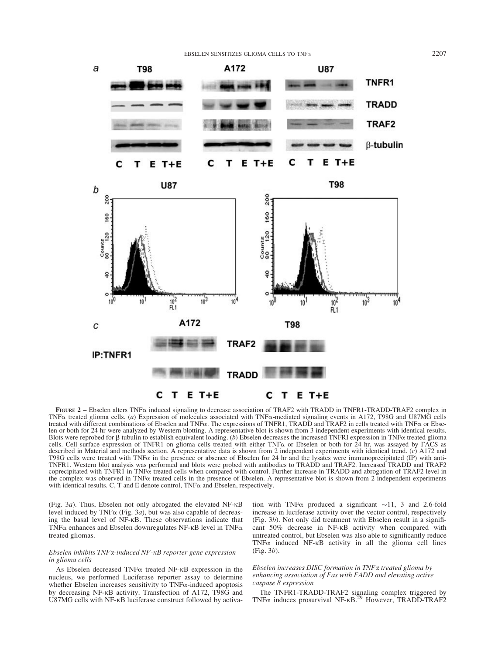

FIGURE 2 – Ebselen alters TNF $\alpha$  induced signaling to decrease association of TRAF2 with TRADD in TNFR1-TRADD-TRAF2 complex in TNFa treated glioma cells. (a) Expression of molecules associated with TNFa-mediated signaling events in A172, T98G and U87MG cells treated with different combinations of Ebselen and TNFa. The expressions of TNFR1, TRADD and TRAF2 in cells treated with TNFa or Ebselen or both for 24 hr were analyzed by Western blotting. A representative blot is shown from 3 independent experiments with identical results. Blots were reprobed for  $\beta$  tubulin to establish equivalent loading. (b) Ebselen decreases the increased TNFRI expression in TNF $\alpha$  treated glioma cells. Cell surface expression of TNFR1 on glioma cells treated with either TNF $\alpha$  or Ebselen or both for 24 hr, was assayed by FACS as described in Material and methods section. A representative data is shown from 2 independent experiments with identical trend. (c) A172 and T98G cells were treated with TNF $\alpha$  in the presence or absence of Ebselen for 24 hr and the lysates were immunoprecipitated (IP) with anti-TNFR1. Western blot analysis was performed and blots were probed with antibodies to TRADD and TRAF2. Increased TRADD and TRAF2 coprecipitated with TNFR1 in TNFa treated cells when compared with control. Further increase in TRADD and abrogation of TRAF2 level in the complex was observed in TNFa treated cells in the presence of Ebselen. A representative blot is shown from 2 independent experiments with identical results. C, T and E denote control,  $TNF\alpha$  and Ebselen, respectively.

(Fig. 3a). Thus, Ebselen not only abrogated the elevated NF- $\kappa$ B level induced by TNF $\alpha$  (Fig. 3*a*), but was also capable of decreasing the basal level of NF-KB. These observations indicate that TNF $\alpha$  enhances and Ebselen downregulates NF- $\kappa$ B level in TNF $\alpha$ treated gliomas.

## $E$ bselen inhibits  $TNF$ α-induced  $NF$ - $\kappa B$  reporter gene expression in glioma cells

As Ebselen decreased TNF $\alpha$  treated NF- $\kappa$ B expression in the nucleus, we performed Luciferase reporter assay to determine whether Ebselen increases sensitivity to  $TNF\alpha$ -induced apoptosis by decreasing NF-KB activity. Transfection of A172, T98G and U87MG cells with NF-KB luciferase construct followed by activation with TNF $\alpha$  produced a significant  $\sim$ 11, 3 and 2.6-fold increase in luciferase activity over the vector control, respectively (Fig. 3b). Not only did treatment with Ebselen result in a significant 50% decrease in NF-KB activity when compared with untreated control, but Ebselen was also able to significantly reduce  $TNF\alpha$  induced  $NF-\kappa B$  activity in all the glioma cell lines (Fig. 3b).

## Ebselen increases DISC formation in TNFa treated glioma by enhancing association of Fas with FADD and elevating active caspase 8 expression

The TNFR1-TRADD-TRAF2 signaling complex triggered by  $TNF\alpha$  induces prosurvival  $NF-KB$ .<sup>29</sup> However, TRADD-TRAF2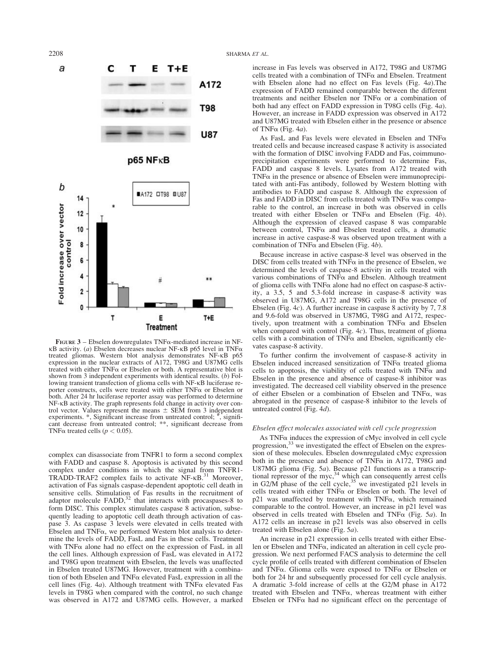



FIGURE 3 – Ebselen downregulates TNF $\alpha$ -mediated increase in NF-<br> $\kappa$ B activity. (*a*) Ebselen decreases nuclear NF- $\kappa$ B p65 level in TNF $\alpha$ treated gliomas. Western blot analysis demonstrates NF-KB p65 expression in the nuclear extracts of A172, T98G and U87MG cells treated with either  $TNF\alpha$  or Ebselen or both. A representative blot is shown from 3 independent experiments with identical results. (b) Following transient transfection of glioma cells with NF-KB luciferase reporter constructs, cells were treated with either  $TNF\alpha$  or Ebselen or both. After 24 hr luciferase reporter assay was performed to determine NF-KB activity. The graph represents fold change in activity over control vector. Values represent the means  $\pm$  SEM from 3 independent experiments.  $*$ , Significant increase from untreated control;  $*$ , significant decrease from untreated control; \*\*, significant decrease from TNF $\alpha$  treated cells ( $p < 0.05$ ).

complex can disassociate from TNFR1 to form a second complex with FADD and caspase 8. Apoptosis is activated by this second complex under conditions in which the signal from TNFR1- TRADD-TRAF2 complex fails to activate  $N$ F- $\kappa$ B.<sup>31</sup> Moreover, activation of Fas signals caspase-dependent apoptotic cell death in sensitive cells. Stimulation of Fas results in the recruitment of adaptor molecule FADD,<sup>32</sup> that interacts with procaspases-8 to form DISC. This complex stimulates caspase 8 activation, subsequently leading to apoptotic cell death through activation of caspase 3. As caspase 3 levels were elevated in cells treated with Ebselen and  $TNF\alpha$ , we performed Western blot analysis to determine the levels of FADD, FasL and Fas in these cells. Treatment with  $TNF\alpha$  alone had no effect on the expression of FasL in all the cell lines. Although expression of FasL was elevated in A172 and T98G upon treatment with Ebselen, the levels was unaffected in Ebselen treated U87MG. However, treatment with a combination of both Ebselen and  $TNF\alpha$  elevated FasL expression in all the cell lines (Fig. 4a). Although treatment with  $TNF\alpha$  elevated Fas levels in T98G when compared with the control, no such change was observed in A172 and U87MG cells. However, a marked increase in Fas levels was observed in A172, T98G and U87MG cells treated with a combination of  $TNF\alpha$  and Ebselen. Treatment with Ebselen alone had no effect on Fas levels (Fig. 4a).The expression of FADD remained comparable between the different treatments and neither Ebselen nor  $TNF\alpha$  or a combination of both had any effect on FADD expression in T98G cells (Fig. 4a). However, an increase in FADD expression was observed in A172 and U87MG treated with Ebselen either in the presence or absence of TNF $\alpha$  (Fig. 4a).

As FasL and Fas levels were elevated in Ebselen and TNFa treated cells and because increased caspase 8 activity is associated with the formation of DISC involving FADD and Fas, coimmunoprecipitation experiments were performed to determine Fas, FADD and caspase 8 levels. Lysates from A172 treated with  $TNF\alpha$  in the presence or absence of Ebselen were immunoprecipitated with anti-Fas antibody, followed by Western blotting with antibodies to FADD and caspase 8. Although the expression of Fas and FADD in DISC from cells treated with TNFa was comparable to the control, an increase in both was observed in cells treated with either Ebselen or TNF $\alpha$  and Ebselen (Fig. 4b). Although the expression of cleaved caspase 8 was comparable between control, TNFa and Ebselen treated cells, a dramatic increase in active caspase-8 was observed upon treatment with a combination of TNF $\alpha$  and Ebselen (Fig. 4b).

Because increase in active caspase-8 level was observed in the DISC from cells treated with  $TNF\alpha$  in the presence of Ebselen, we determined the levels of caspase-8 activity in cells treated with various combinations of  $TN\hat{F}\alpha$  and Ebselen. Although treatment of glioma cells with  $TNF\alpha$  alone had no effect on caspase-8 activity, a 3.5, 5 and 5.3-fold increase in caspase-8 activity was observed in U87MG, A172 and T98G cells in the presence of Ebselen (Fig. 4c). A further increase in caspase 8 activity by 7, 7.8 and 9.6-fold was observed in U87MG, T98G and A172, respectively, upon treatment with a combination  $TNF\alpha$  and Ebselen when compared with control (Fig.  $4c$ ). Thus, treatment of glioma cells with a combination of  $TNF\alpha$  and Ebselen, significantly elevates caspase-8 activity.

To further confirm the involvement of caspase-8 activity in Ebselen induced increased sensitization of  $TNF\alpha$  treated glioma cells to apoptosis, the viability of cells treated with  $TNF\alpha$  and Ebselen in the presence and absence of caspase-8 inhibitor was investigated. The decreased cell viability observed in the presence of either Ebselen or a combination of Ebselen and TNFa, was abrogated in the presence of caspase-8 inhibitor to the levels of untreated control (Fig. 4d).

#### Ebselen effect molecules associated with cell cycle progression

As  $TNF\alpha$  induces the expression of cMyc involved in cell cycle progression,<sup>33</sup> we investigated the effect of Ebselen on the expression of these molecules. Ebselen downregulated cMyc expression both in the presence and absence of TNF $\alpha$  in A172, T98G and U87MG glioma (Fig. 5a). Because p21 functions as a transcriptional repressor of the myc,  $34$  which can consequently arrest cells in G2/M phase of the cell cycle,<sup>35</sup> we investigated p21 levels in cells treated with either TNF $\alpha$  or Ebselen or both. The level of  $p21$  was unaffected by treatment with TNF $\alpha$ , which remained comparable to the control. However, an increase in p21 level was observed in cells treated with Ebselen and TNF $\alpha$  (Fig. 5*a*). In A172 cells an increase in p21 levels was also observed in cells treated with Ebselen alone (Fig. 5a).

An increase in p21 expression in cells treated with either Ebselen or Ebselen and TNF $\alpha$ , indicated an alteration in cell cycle progression. We next performed FACS analysis to determine the cell cycle profile of cells treated with different combination of Ebselen and TNF $\alpha$ . Glioma cells were exposed to TNF $\alpha$  or Ebselen or both for 24 hr and subsequently processed for cell cycle analysis. A dramatic 3-fold increase of cells at the G2/M phase in A172 treated with Ebselen and TNF $\alpha$ , whereas treatment with either Ebselen or TNF $\alpha$  had no significant effect on the percentage of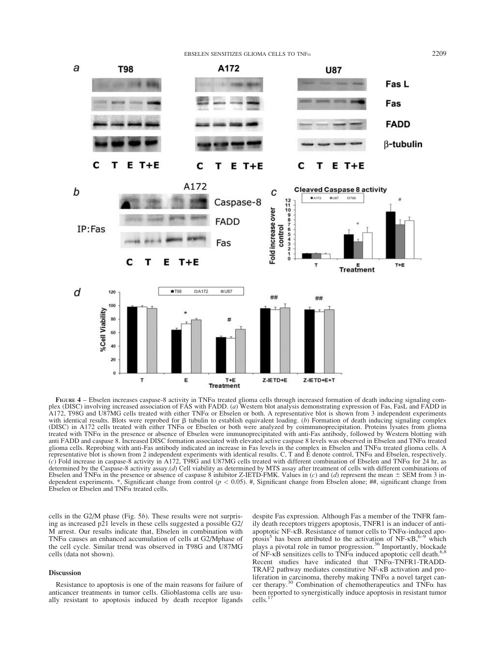## EBSELEN SENSITIZES GLIOMA CELLS TO TNF $\alpha$  2209



FIGURE  $4$  – Ebselen increases caspase-8 activity in TNF $\alpha$  treated glioma cells through increased formation of death inducing signaling complex (DISC) involving increased association of FAS with FADD. (a) Western blot analysis demonstrating expression of Fas, FasL and FADD in A172, T98G and U87MG cells treated with either TNFa or Ebselen or both. A representative blot is shown from 3 independent experiments with identical results. Blots were reprobed for  $\beta$  tubulin to establish equivalent loading. (b) Formation of death inducing signaling complex (DISC) in A172 cells treated with either TNF $\alpha$  or Ebselen or both were analyzed by coimmunoprecipitation. Proteins lysates from glioma treated with TNFa in the presence or absence of Ebselen were immunoprecipitated with anti-Fas antibody, followed by Western blotting with anti FADD and caspase 8. Increased DISC formation associated with elevated active caspase 8 levels was observed in Ebselen and TNFa treated glioma cells. Reprobing with anti-Fas antibody indicated an increase in Fas levels in the complex in Ebselen and TNFa treated glioma cells. A representative blot is shown from 2 independent experiments with identical results. C, T and E denote control, TNFa and Ebselen, respectively. (c) Fold increase in caspase-8 activity in A172, T98G and U87MG cells treated with different combination of Ebselen and TNF $\alpha$  for 24 hr, as determined by the Caspase-8 activity assay.(d) Cell viability as determined by MTS assay after treatment of cells with different combinations of Ebselen and TNF $\alpha$  in the presence or absence of caspase 8 inhibitor Z-IETD-FMK. Values in (c) and (d) represent the mean  $\pm$  SEM from 3 independent experiments.  $*$ , Significant change from control ( $p < 0.05$ ). #, Significant change from Ebselen alone; ##, significant change from Ebselen or Ebselen and  $TNF\alpha$  treated cells.

cells in the G2/M phase (Fig. 5b). These results were not surprising as increased p21 levels in these cells suggested a possible G2/ M arrest. Our results indicate that, Ebselen in combination with TNF $\alpha$  causes an enhanced accumulation of cells at G2/Mphase of the cell cycle. Similar trend was observed in T98G and U87MG cells (data not shown).

## Discussion

Resistance to apoptosis is one of the main reasons for failure of anticancer treatments in tumor cells. Glioblastoma cells are usually resistant to apoptosis induced by death receptor ligands

despite Fas expression. Although Fas a member of the TNFR family death receptors triggers apoptosis, TNFR1 is an inducer of antiapoptotic NF- $\kappa$ B. Resistance of tumor cells to TNF $\alpha$ -induced apoptosis<sup>5</sup> has been attributed to the activation of NF- $\kappa$ B, <sup>6–9</sup> which plays a pivotal role in tumor progression.<sup>36</sup> Importantly, blockade of NF- $\kappa$ B sensitizes cells to TNF $\alpha$  induced apoptotic cell death.<sup>6,8</sup> Recent studies have indicated that TNFa-TNFR1-TRADD-TRAF2 pathway mediates constitutive NF-KB activation and proliferation in carcinoma, thereby making TNF $\alpha$  a novel target cancer therapy.<sup>30</sup> Combination of chemotherapeutics and TNF $\alpha$  has been reported to synergistically induce apoptosis in resistant tumor cells.<sup>17</sup>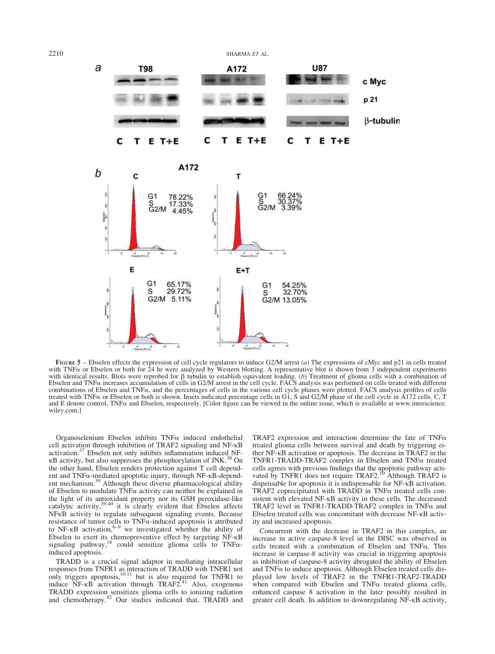

FIGURE  $5$  – Ebselen effects the expression of cell cycle regulators to induce G2/M arrest (a) The expressions of cMyc and p21 in cells treated with TNF<sub>a</sub> or Ebselen or both for 24 hr were analyzed by Western blotting. A representative blot is shown from 3 independent experiments with identical results. Blots were reprobed for  $\beta$  tubulin to establish equivalent loading. (b) Treatment of glioma cells with a combination of Ebselen and TNFa increases accumulation of cells in G2/M arrest in the cell cycle. FACS analysis was performed on cells treated with different combinations of Ebselen and TNFa, and the percentages of cells in the various cell cycle phases were plotted. FACS analysis profiles of cells treated with TNFa or Ebselen or both is shown. Insets indicated percentage cells in G1, S and G2/M phase of the cell cycle in A172 cells. C, T and E denote control,  $TNF\alpha$  and Ebselen, respectively. [Color figure can be viewed in the online issue, which is available at www.interscience. wiley.com.]

Organoselenium Ebselen inhibits TNFa induced endothelial cell activation through inhibition of TRAF2 signaling and NF-KB activation. $37$  Ebselen not only inhibits inflammation induced NF- $\kappa$ B activity, but also suppresses the phosphorylation of JNK.<sup>38</sup> On the other hand, Ebselen renders protection against T cell dependent and TNF $\alpha$ -mediated apoptotic injury, through NF- $\kappa$ B-depend-<br>ent mechanism.<sup>39</sup> Although these diverse pharmacological ability of Ebselen to modulate  $TNF\alpha$  activity can neither be explained in the light of its antioxidant property nor its GSH peroxidase-like catalytic activity,<sup>39,40</sup> it is clearly evident that Ebselen affects NFKB activity to regulate subsequent signaling events. Because resistance of tumor cells to  $TNF\alpha$ -induced apoptosis is attributed to  $NF\kappa B$  activation,  $6-9$  we investigated whether the ability of Ebselen to exert its chemopreventive effect by targeting NF- $\kappa$ B signaling pathway,<sup>18</sup> could sensitize glioma cells to TNF $\alpha$ induced apoptosis.

TRADD is a crucial signal adaptor in mediating intracellular responses from TNFR1 as interaction of TRADD with TNFR1 not only triggers apoptosis,<sup>10,11</sup> but is also required for TNFR1 to induce  $\overrightarrow{NF-kB}$  activation through TRAF2.<sup>41</sup> Also, exogenous TRADD expression sensitizes glioma cells to ionizing radiation and chemotherapy.<sup>42</sup> Our studies indicated that, TRADD and

TRAF2 expression and interaction determine the fate of TNF $\alpha$ treated glioma cells between survival and death by triggering either NF-KB activation or apoptosis. The decrease in TRAF2 in the TNFR1-TRADD-TRAF2 complex in Ebselen and TNFa treated cells agrees with previous findings that the apoptotic pathway acti-<br>vated by TNFR1 does not require TRAF2.<sup>10</sup> Although TRAF2 is dispensable for apoptosis it is indispensable for  $NF$ - $\kappa$ B activation. TRAF2 coprecipitated with TRADD in TNFa treated cells consistent with elevated NF- $\kappa$ B activity in these cells. The decreased TRAF2 level in TNFR1-TRADD-TRAF2 complex in TNF $\alpha$  and Ebselen treated cells was concomitant with decrease NF-KB activity and increased apoptosis.

Concurrent with the decrease in TRAF2 in this complex, an increase in active caspase-8 level in the DISC was observed in cells treated with a combination of Ebselen and TNFa. This increase in caspase-8 activity was crucial in triggering apoptosis as inhibition of caspase-8 activity abrogated the ability of Ebselen and  $TNF\alpha$  to induce apoptosis. Although Ebselen treated cells displayed low levels of TRAF2 in the TNFR1-TRAF2-TRADD when compared with Ebselen and  $TNF\alpha$  treated glioma cells, enhanced caspase 8 activation in the later possibly resulted in greater cell death. In addition to downregulating NF-KB activity,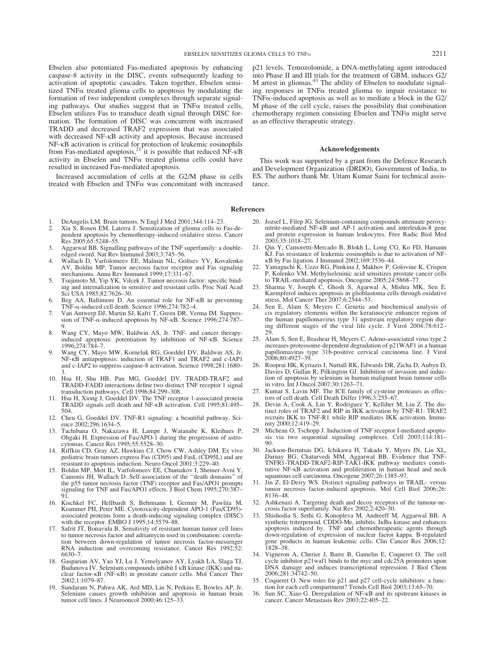Ebselen also potentiated Fas-mediated apoptosis by enhancing caspase-8 activity in the DISC, events subsequently leading to activation of apoptotic cascades. Taken together, Ebselen sensitized TNFa treated glioma cells to apoptosis by modulating the formation of two independent complexes through separate signaling pathways. Our studies suggest that in  $TNF\alpha$  treated cells, Ebselen utilizes Fas to transduce death signal through DISC formation. The formation of DISC was concurrent with increased TRADD and decreased TRAF2 expression that was associated with decreased NF- $\kappa$ B activity and apoptosis. Because increased NF- $\kappa$ B activation is critical for protection of leukemic eosinophils from Fas-mediated apoptosis,<sup>21</sup> it is possible that reduced NF- $\kappa$ B activity in Ebselen and  $TNF\alpha$  treated glioma cells could have resulted in increased Fas-mediated apoptosis.

Increased accumulation of cells at the G2/M phase in cells treated with Ebselen and TNF $\alpha$  was concomitant with increased p21 levels. Temozolomide, a DNA-methylating agent introduced into Phase II and III trials for the treatment of GBM, induces G2/ M arrest in gliomas.<sup>43</sup> The ability of Ebselen to modulate signaling responses in TNFa treated glioma to impair resistance to  $TNF\alpha$ -induced apoptosis as well as to mediate a block in the G2/ M phase of the cell cycle, raises the possibility that combination chemotherapy regimen consisting Ebselen and  $TNF\alpha$  might serve as an effective therapeutic strategy.

#### Acknowledgements

This work was supported by a grant from the Defence Research and Development Organization (DRDO), Government of India, to ES. The authors thank Mr. Uttam Kumar Saini for technical assistance.

#### References

- 1. DeAngelis LM. Brain tumors. N Engl J Med 2001;344:114–23.
- 2. Xia S, Rosen EM, Laterra J. Sensitization of glioma cells to Fas-dependent apoptosis by chemotherapy-induced oxidative stress. Cancer Res 2005;65:5248–55.
- 3. Aggarwal BB. Signalling pathways of the TNF superfamily: a doubleedged sword. Nat Rev Immunol 2003;3:745-56.
- 4. Wallach D, Varfolomeev EE, Malinin NL, Goltsev YV, Kovalenko AV, Boldin MP. Tumor necrosis factor receptor and Fas signaling mechanisms. Annu Rev Immunol 1999;17:331–67.
- 5. Tsujimoto M, Yip YK, Vilcek J. Tumor necrosis factor: specific binding and internalization in sensitive and resistant cells. Proc Natl Acad Sci USA 1985;82:7626–30.
- 6. Beg AA, Baltimore D. An essential role for NF-KB in preventing TNF-a-induced cell death. Science 1996;274:782–4.
- 7. Van Antwerp DJ, Martin SJ, Kafri T, Green DR, Verma IM. Suppression of TNF- $\alpha$ -induced apoptosis by NF- $\kappa$ B. Science 1996;274:787– 9.
- 8. Wang CY, Mayo MW, Baldwin AS, Jr. TNF- and cancer therapyinduced apoptosis: potentiation by inhibition of NF-KB. Science 1996;274:784–7.
- 9. Wang CY, Mayo MW, Korneluk RG, Goeddel DV, Baldwin AS, Jr. NF-KB antiapoptosis: induction of TRAF1 and TRAF2 and c-IAP1 and c-IAP2 to suppress caspase-8 activation. Science 1998;281:1680– 3.
- 10. Hsu H, Shu HB, Pan MG, Goeddel DV. TRADD-TRAF2 and TRADD-FADD interactions define two distinct TNF receptor 1 signal transduction pathways. Cell 1996;84:299–308.
- 11. Hsu H, Xiong J, Goeddel DV. The TNF receptor 1-associated protein TRADD signals cell death and NF-KB activation. Cell 1995;81:495– 504.
- 12. Chen G, Goeddel DV. TNF-R1 signaling: a beautiful pathway. Science 2002;296:1634–5.
- 13. Tachibana O, Nakazawa H, Lampe J, Watanabe K, Kleihues P, Ohgaki H. Expression of Fas/APO-1 during the progression of astrocytomas. Cancer Res 1995;55:5528–30.
- 14. Riffkin CD, Gray AZ, Hawkins CJ, Chow CW, Ashley DM. Ex vivo pediatric brain tumors express Fas (CD95) and FasL (CD95L) and are resistant to apoptosis induction. Neuro Oncol 2001;3:229–40.
- 15. Boldin MP, Mett IL, Varfolomeev EE, Chumakov I, Shemer-Avni Y, Camonis JH, Wallach D. Self-association of the ''death domains'' of the p55 tumor necrosis factor (TNF) receptor and Fas/APO1 prompts signaling for TNF and Fas/APO1 effects. J Biol Chem 1995;270:387-91.
- 16. Kischkel FC, Hellbardt S, Behrmann I, Germer M, Pawlita M, Krammer PH, Peter ME. Cytotoxicity-dependent APO-1 (Fas/CD95) associated proteins form a death-inducing signaling complex (DISC) with the receptor. EMBO J 1995;14:5579–88.
- 17. Safrit JT, Bonavida B. Sensitivity of resistant human tumor cell lines to tumor necrosis factor and adriamycin used in combination: correlation between down-regulation of tumor necrosis factor-messenger RNA induction and overcoming resistance. Cancer Res 1992;52: 6630–7.
- 18. Gasparian AV, Yao YJ, Lu J, Yemelyanov AY, Lyakh LA, Slaga TJ, Budunova IV. Selenium compounds inhibit I  $\kappa$ B kinase (IKK) and nuclear factor- $\kappa$ B (NF- $\kappa$ B) in prostate cancer cells. Mol Cancer Ther 2002;1:1079–87.
- 19. Sundaram N, Pahwa AK, Ard MD, Lin N, Perkins E, Bowles AP, Jr. Selenium causes growth inhibition and apoptosis in human brain tumor cell lines. J Neurooncol 2000;46:125–33.
- 20. Jozsef L, Filep JG. Selenium-containing compounds attenuate peroxynitrite-mediated NF-KB and AP-1 activation and interleukin-8 gene and protein expression in human leukocytes. Free Radic Biol Med 2003;35:1018–27.
- 21. Qin Y, Camoretti-Mercado B, Blokh L, Long CG, Ko FD, Hamann KJ. Fas resistance of leukemic eosinophils is due to activation of NFjB by Fas ligation. J Immunol 2002;169:3536–44.
- 22. Yamaguchi K, Uzzo RG, Pimkina J, Makhov P, Golovine K, Crispen P, Kolenko VM. Methylseleninic acid sensitizes prostate cancer cells to TRAIL-mediated apoptosis. Oncogene 2005;24:5868–77.
- 23. Sharma V, Joseph C, Ghosh S, Agarwal A, Mishra MK, Sen E. Kaempferol induces apoptosis in glioblastoma cells through oxidative stress. Mol Cancer Ther 2007;6:2544–53.
- 24. Sen E, Alam S, Meyers C. Genetic and biochemical analysis of cis regulatory elements within the keratinocyte enhancer region of the human papillomavirus type 31 upstream regulatory region during different stages of the viral life cycle. J Virol 2004;78:612– 29.
- 25. Alam S, Sen E, Brashear H, Meyers C. Adeno-associated virus type 2 increases proteosome-dependent degradation of p21WAF1 in a human papillomavirus type 31b-positive cervical carcinoma line. J Virol 2006;80:4927–39.
- 26. Rooprai HK, Kyriazis I, Nuttall RK, Edwards DR, Zicha D, Aubyn D, Davies D, Gullan R, Pilkington GJ. Inhibition of invasion and induction of apoptosis by selenium in human malignant brain tumour cells in vitro. Int J Oncol 2007;30:1263–71.
- 27. Kumar S, Lavin MF. The ICE family of cysteine proteases as effec-tors of cell death. Cell Death Differ 1996;3:255–67.
- 28. Devin A, Cook A, Lin Y, Rodriguez Y, Kelliher M, Liu Z. The distinct roles of TRAF2 and RIP in IKK activation by TNF-R1: TRAF2 recruits IKK to TNF-R1 while RIP mediates IKK activation. Immunity 2000;12:419–29.
- 29. Micheau O, Tschopp J. Induction of TNF receptor I-mediated apopto-sis via two sequential signaling complexes. Cell 2003;114:181– 90.
- 30. Jackson-Bernitsas DG, Ichikawa H, Takada Y, Myers JN, Lin XL, Darnay BG, Chaturvedi MM, Aggarwal BB. Evidence that TNF-TNFR1-TRADD-TRAF2-RIP-TAK1-IKK pathway mediates constitutive NF- $\kappa$ B activation and proliferation in human head and neck squamous cell carcinoma. Oncogene 2007;26:1385–97.
- 31. Jin Z, El-Deiry WS. Distinct signaling pathways in TRAIL- versus tumor necrosis factor-induced apoptosis. Mol Cell Biol 2006;26: 8136–48.
- 32. Ashkenazi A. Targeting death and decoy receptors of the tumour-necrosis factor superfamily. Nat Rev 2002;2:420–30.
- 33. Shishodia S, Sethi G, Konopleva M, Andreeff M, Aggarwal BB. A synthetic triterpenoid. CDDO-Me, inhibits. IkBa kinase and enhances apoptosis induced by. TNF and chemotherapeutic agents through down-regulation of expression of nuclear factor kappa. B-regulated gene products in human leukemic cells. Clin Cancer Res 2006;12: 1828–38.
- 34. Vigneron A, Cherier J, Barre B, Gamelin E, Coqueret O. The cell cycle inhibitor p21waf1 binds to the myc and cdc25A promoters upon DNA damage and induces transcriptional repression. J Biol Chem 2006;281:34742–50.
- 35. Coqueret O. New roles for p21 and p27 cell-cycle inhibitors: a function for each cell compartment? Trends Cell Biol 2003;13:65–70.
- 36. Sun SC, Xiao G. Deregulation of NF-KB and its upstream kinases in cancer. Cancer Metastasis Rev 2003;22:405–22.